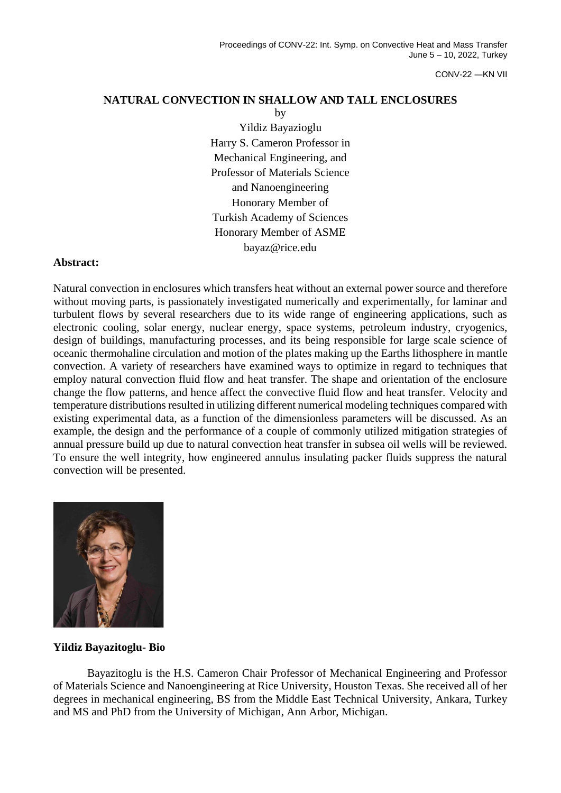CONV-22 ―KN VII

## **NATURAL CONVECTION IN SHALLOW AND TALL ENCLOSURES**

by Yildiz Bayazioglu Harry S. Cameron Professor in Mechanical Engineering, and Professor of Materials Science and Nanoengineering Honorary Member of Turkish Academy of Sciences Honorary Member of ASME bayaz@rice.edu

## **Abstract:**

Natural convection in enclosures which transfers heat without an external power source and therefore without moving parts, is passionately investigated numerically and experimentally, for laminar and turbulent flows by several researchers due to its wide range of engineering applications, such as electronic cooling, solar energy, nuclear energy, space systems, petroleum industry, cryogenics, design of buildings, manufacturing processes, and its being responsible for large scale science of oceanic thermohaline circulation and motion of the plates making up the Earths lithosphere in mantle convection. A variety of researchers have examined ways to optimize in regard to techniques that employ natural convection fluid flow and heat transfer. The shape and orientation of the enclosure change the flow patterns, and hence affect the convective fluid flow and heat transfer. Velocity and temperature distributions resulted in utilizing different numerical modeling techniques compared with existing experimental data, as a function of the dimensionless parameters will be discussed. As an example, the design and the performance of a couple of commonly utilized mitigation strategies of annual pressure build up due to natural convection heat transfer in subsea oil wells will be reviewed. To ensure the well integrity, how engineered annulus insulating packer fluids suppress the natural convection will be presented.



## **Yildiz Bayazitoglu- Bio**

Bayazitoglu is the H.S. Cameron Chair Professor of Mechanical Engineering and Professor of Materials Science and Nanoengineering at Rice University, Houston Texas. She received all of her degrees in mechanical engineering, BS from the Middle East Technical University, Ankara, Turkey and MS and PhD from the University of Michigan, Ann Arbor, Michigan.